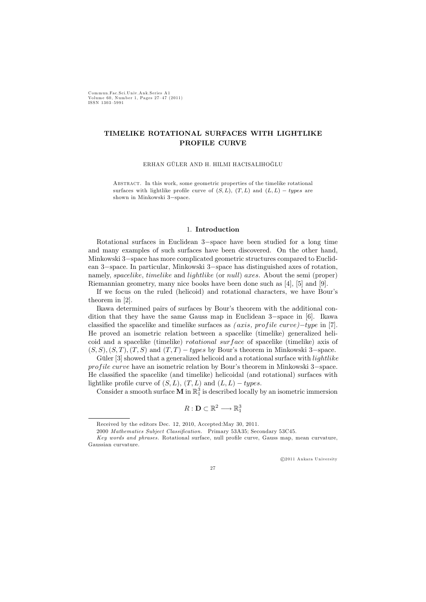C ommun.Fac.Sci.U niv.Ank.Series A 1 Volum e 60, Number 1, Pages 27—47 (2011) ISSN 1303—5991

# TIMELIKE ROTATIONAL SURFACES WITH LIGHTLIKE PROFILE CURVE

ERHAN GÜLER AND H. HILMI HACISALIHOĞLU

ABSTRACT. In this work, some geometric properties of the timelike rotational surfaces with lightlike profile curve of  $(S, L)$ ,  $(T, L)$  and  $(L, L) - \text{types are}$ shown in Minkowski 3−space.

### 1. Introduction

Rotational surfaces in Euclidean 3−space have been studied for a long time and many examples of such surfaces have been discovered. On the other hand, Minkowski 3−space has more complicated geometric structures compared to Euclidean 3−space. In particular, Minkowski 3−space has distinguished axes of rotation, namely, spacelike, timelike and lightlike (or null) axes. About the semi (proper) Riemannian geometry, many nice books have been done such as [4], [5] and [9].

If we focus on the ruled (helicoid) and rotational characters, we have Bour's theorem in [2].

Ikawa determined pairs of surfaces by Bour's theorem with the additional condition that they have the same Gauss map in Euclidean 3−space in [6]. Ikawa classified the spacelike and timelike surfaces as  $(axis, profile curve)$ −type in [7]. He proved an isometric relation between a spacelike (timelike) generalized helicoid and a spacelike (timelike) *rotational surface* of spacelike (timelike) axis of  $(S, S), (S, T), (T, S)$  and  $(T, T) - types$  by Bour's theorem in Minkowski 3–space.

Güler [3] showed that a generalized helicoid and a rotational surface with *lightlike* profile curve have an isometric relation by Bour's theorem in Minkowski 3–space. He classified the spacelike (and timelike) helicoidal (and rotational) surfaces with lightlike profile curve of  $(S, L)$ ,  $(T, L)$  and  $(L, L) - types$ .

Consider a smooth surface  $\widehat{M}$  in  $\mathbb{R}^3_1$  is described locally by an isometric immersion

$$
R:\mathbf{D}\subset\mathbb{R}^2\longrightarrow\mathbb{R}^3_1
$$

-c 2011 Ankara University

27

Received by the editors Dec. 12, 2010, Accepted:May 30, 2011.

<sup>2000</sup> Mathematics Subject Classification. Primary 53A35; Secondary 53C45.

Key words and phrases. Rotational surface, null profile curve, Gauss map, mean curvature, Gaussian curvature.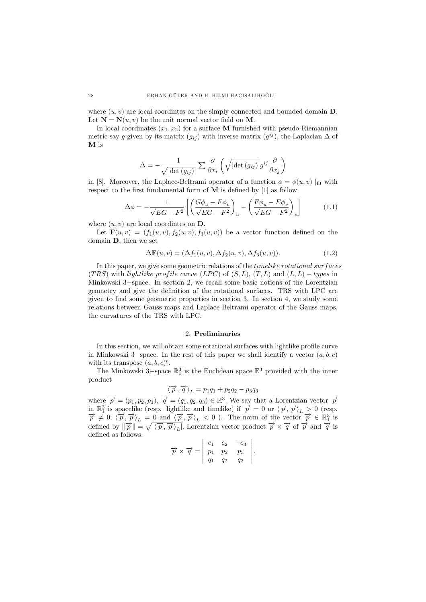where  $(u, v)$  are local coordintes on the simply connected and bounded domain **D**. Let  $N = N(u, v)$  be the unit normal vector field on M.

In local coordinates  $(x_1, x_2)$  for a surface M furnished with pseudo-Riemannian metric say g given by its matrix  $(g_{ij})$  with inverse matrix  $(g^{ij})$ , the Laplacian  $\Delta$  of M is

$$
\Delta = -\frac{1}{\sqrt{\left|\operatorname{det}\left(g_{ij}\right)\right|}} \sum \frac{\partial}{\partial x_i} \left(\sqrt{\left|\operatorname{det}\left(g_{ij}\right)\right|} g^{ij} \frac{\partial}{\partial x_j}\right)
$$

in [8]. Moreover, the Laplace-Beltrami operator of a function  $\phi = \phi(u, v) |_{\mathbf{D}}$  with respect to the first fundamental form of  $\overline{M}$  is defined by [1] as follow &

$$
\Delta \phi = -\frac{1}{\sqrt{EG - F^2}} \left[ \left( \frac{G\phi_u - F\phi_v}{\sqrt{EG - F^2}} \right)_u - \left( \frac{F\phi_u - E\phi_v}{\sqrt{EG - F^2}} \right)_v \right] \tag{1.1}
$$

where  $(u, v)$  are local coordintes on **D**.

Let  $\mathbf{F}(u, v)=(f_1(u, v), f_2(u, v), f_3(u, v))$  be a vector function defined on the domain D, then we set

$$
\Delta \mathbf{F}(u, v) = (\Delta f_1(u, v), \Delta f_2(u, v), \Delta f_3(u, v)).
$$
\n(1.2)

In this paper, we give some geometric relations of the *timelike rotational surfaces* (TRS) with lightlike profile curve (LPC) of  $(S, L)$ ,  $(T, L)$  and  $(L, L) - types$  in Minkowski 3−space. In section 2, we recall some basic notions of the Lorentzian geometry and give the definition of the rotational surfaces. TRS with LPC are given to find some geometric properties in section 3. In section 4, we study some relations between Gauss maps and Laplace-Beltrami operator of the Gauss maps, the curvatures of the TRS with LPC.

### 2. Preliminaries

In this section, we will obtain some rotational surfaces with lightlike profile curve in Minkowski 3–space. In the rest of this paper we shall identify a vector  $(a, b, c)$ with its transpose  $(a, b, c)^t$ .

The Minkowski 3–space  $\mathbb{R}^3$  is the Euclidean space  $\mathbb{E}^3$  provided with the inner product

$$
\langle \overrightarrow{p}, \overrightarrow{q} \rangle_L = p_1 q_1 + p_2 q_2 - p_3 q_3
$$

where  $\vec{p} = (p_1, p_2, p_3), \vec{q} = (q_1, q_2, q_3) \in \mathbb{R}^3$ . We say that a Lorentzian vector  $\vec{p}$ in  $\mathbb{R}^3_1$  is spacelike (resp. lightlike and timelike) if  $\vec{p} = 0$  or  $\langle \vec{p}, \vec{p} \rangle_L > 0$  (resp.  $\vec{p} \neq 0$ ;  $\langle \vec{p}, \vec{p} \rangle_L = 0$  and  $\langle \vec{p}, \vec{p} \rangle_L < 0$ ). The norm of the vector  $\vec{p} \in \mathbb{R}^3_1$  is  $\overrightarrow{p} \neq 0$ ;  $\langle \overrightarrow{p}, \overrightarrow{p} \rangle_L = 0$  and  $\langle \overrightarrow{p}, \overrightarrow{p} \rangle_L < 0$ ). The norm of the vector  $\overrightarrow{p} \in \mathbb{R}^3_1$  is<br>defined by  $\|\overrightarrow{p}\| = \sqrt{|\langle \overrightarrow{p}, \overrightarrow{p} \rangle_L|}$ . Lorentzian vector product  $\overrightarrow{p} \times \overrightarrow{q}$  of  $\overrightarrow{p}$  and  $\$ defined as follows:

$$
\overrightarrow{p} \times \overrightarrow{q} = \begin{vmatrix} e_1 & e_2 & -e_3 \\ p_1 & p_2 & p_3 \\ q_1 & q_2 & q_3 \end{vmatrix}.
$$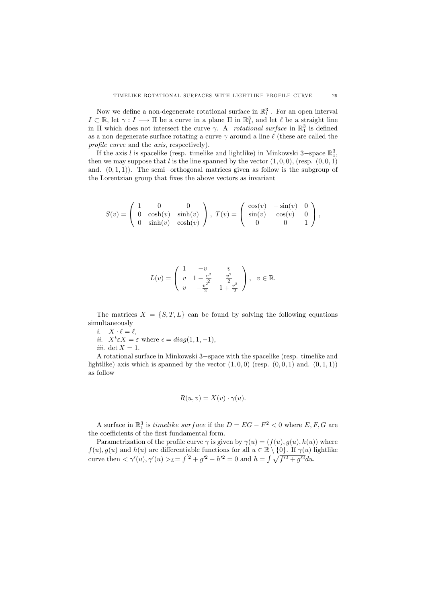Now we define a non-degenerate rotational surface in  $\mathbb{R}^3_1$ . For an open interval  $I \subset \mathbb{R}$ , let  $\gamma : I \longrightarrow \Pi$  be a curve in a plane  $\Pi$  in  $\mathbb{R}^3$ , and let  $\ell$  be a straight line in Π which does not intersect the curve  $\gamma$ . A *rotational surface* in  $\mathbb{R}^3_1$  is defined as a non degenerate surface rotating a curve  $\gamma$  around a line  $\ell$  (these are called the profile curve and the *axis*, respectively).

If the axis l is spacelike (resp. timelike and lightlike) in Minkowski 3-space  $\mathbb{R}^3_1$ , then we may suppose that l is the line spanned by the vector  $(1, 0, 0)$ , (resp.  $(0, 0, 1)$ ) and.  $(0, 1, 1)$ ). The semi–orthogonal matrices given as follow is the subgroup of the Lorentzian group that fixes the above vectors as invariant

$$
S(v) = \begin{pmatrix} 1 & 0 & 0 \\ 0 & \cosh(v) & \sinh(v) \\ 0 & \sinh(v) & \cosh(v) \end{pmatrix}, \ T(v) = \begin{pmatrix} \cos(v) & -\sin(v) & 0 \\ \sin(v) & \cos(v) & 0 \\ 0 & 0 & 1 \end{pmatrix},
$$

$$
L(v) = \begin{pmatrix} 1 & -v & v \\ v & 1 - \frac{v^2}{2} & \frac{v^2}{2} \\ v & -\frac{v^2}{2} & 1 + \frac{v^2}{2} \end{pmatrix}, v \in \mathbb{R}.
$$

The matrices  $X = \{S, T, L\}$  can be found by solving the following equations simultaneously

 $i. \quad X \cdot \ell = \ell,$ 

- *ii.*  $X^t \in X = \varepsilon$  where  $\epsilon = diag(1, 1, -1)$ ,
- iii. det  $X = 1$ .

A rotational surface in Minkowski 3−space with the spacelike (resp. timelike and lightlike) axis which is spanned by the vector  $(1, 0, 0)$  (resp.  $(0, 0, 1)$  and.  $(0, 1, 1)$ ) as follow

$$
R(u, v) = X(v) \cdot \gamma(u).
$$

A surface in  $\mathbb{R}^3_1$  is timelike surface if the  $D = EG - F^2 < 0$  where  $E, F, G$  are the coefficients of the first fundamental form.

Parametrization of the profile curve  $\gamma$  is given by  $\gamma(u)=(f(u), g(u), h(u))$  where  $f(u)$ ,  $g(u)$  and  $h(u)$  are differentiable functions for all  $u \in \mathbb{R} \setminus \{0\}$ . If  $\gamma(u)$  lightlike  $f(u)$ ,  $g(u)$  and  $h(u)$  are differentiable functions for all  $u \in \mathbb{R} \setminus \{0\}$ . If  $\gamma(u)$  is curve then  $\langle \gamma'(u), \gamma'(u) \rangle_{L} = f'^2 + g'^2 - h'^2 = 0$  and  $h = \int \sqrt{f'^2 + g'^2} du$ .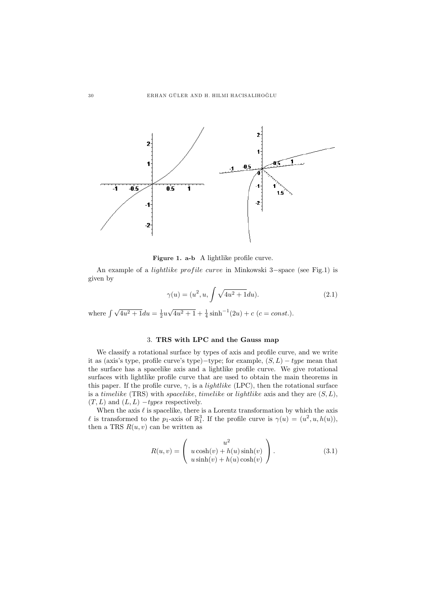

Figure 1. a-b A lightlike profile curve.

An example of a *lightlike profile curve* in Minkowski 3–space (see Fig.1) is given by

$$
\gamma(u) = (u^2, u, \int \sqrt{4u^2 + 1} du). \tag{2.1}
$$

where  $\int \sqrt{4u^2+1} du = \frac{1}{2}u\sqrt{4u^2+1} + \frac{1}{4}\sinh^{-1}(2u) + c$  (c = const.).

## 3. TRS with LPC and the Gauss map

We classify a rotational surface by types of axis and profile curve, and we write it as (axis's type, profile curve's type)−type; for example,  $(S, L)$  – type mean that the surface has a spacelike axis and a lightlike profile curve. We give rotational surfaces with lightlike profile curve that are used to obtain the main theorems in this paper. If the profile curve,  $\gamma$ , is a *lightlike* (LPC), then the rotational surface is a timelike (TRS) with spacelike, timelike or lightlike axis and they are  $(S, L)$ ,  $(T, L)$  and  $(L, L)$  –types respectively.

When the axis  $\ell$  is spacelike, there is a Lorentz transformation by which the axis l is transformed to the  $p_1$ -axis of  $\mathbb{R}^3$ . If the profile curve is  $\gamma(u)=(u^2, u, h(u)),$ then a TRS  $R(u, v)$  can be written as

$$
R(u, v) = \begin{pmatrix} u^2 \\ u \cosh(v) + h(u) \sinh(v) \\ u \sinh(v) + h(u) \cosh(v) \end{pmatrix}.
$$
 (3.1)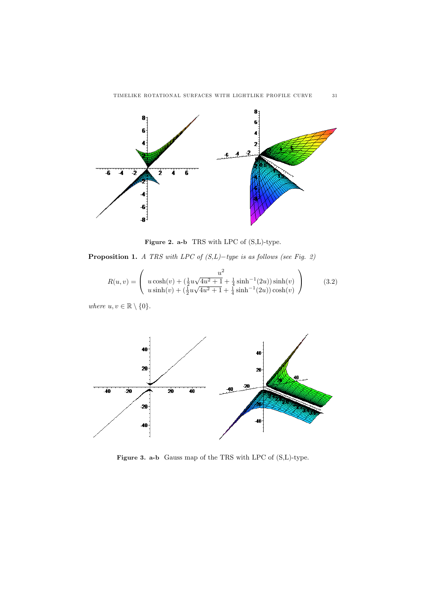

Figure 2. a-b TRS with LPC of  $(S, L)$ -type.

**Proposition 1.** A TRS with LPC of  $(S, L)$ -type is as follows (see Fig. 2)

$$
R(u,v) = \begin{pmatrix} u^2 \\ u \cosh(v) + (\frac{1}{2}u\sqrt{4u^2 + 1} + \frac{1}{4}\sinh^{-1}(2u))\sinh(v) \\ u \sinh(v) + (\frac{1}{2}u\sqrt{4u^2 + 1} + \frac{1}{4}\sinh^{-1}(2u))\cosh(v) \end{pmatrix}
$$
(3.2)

where  $u, v \in \mathbb{R} \setminus \{0\}.$ 



Figure 3. a-b Gauss map of the TRS with LPC of (S,L)-type.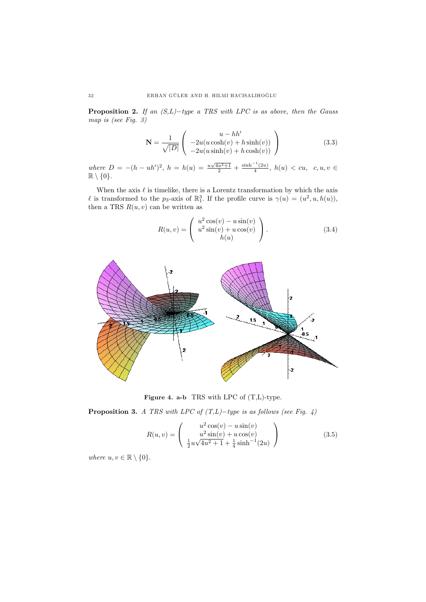**Proposition 2.** If an  $(S, L)$ -type a TRS with LPC is as above, then the Gauss map is (see Fig. 3)

$$
\mathbf{N} = \frac{1}{\sqrt{|D|}} \begin{pmatrix} u - hh' \\ -2u(u \cosh(v) + h \sinh(v)) \\ -2u(u \sinh(v) + h \cosh(v)) \end{pmatrix}
$$
(3.3)

where  $D = -(h - uh')^2$ ,  $h = h(u) = \frac{u\sqrt{4u^2+1}}{2} + \frac{\sinh^{-1}(2u)}{4}$ ,  $h(u) < cu$ ,  $c, u, v \in$  $\mathbb{R}\setminus\{0\}.$ 

When the axis  $\ell$  is timelike, there is a Lorentz transformation by which the axis l is transformed to the p<sub>3</sub>-axis of  $\mathbb{R}^3$ . If the profile curve is  $\gamma(u)=(u^2, u, h(u)),$ then a TRS  $R(u, v)$  can be written as

$$
R(u,v) = \begin{pmatrix} u^2 \cos(v) - u \sin(v) \\ u^2 \sin(v) + u \cos(v) \\ h(u) \end{pmatrix}.
$$
 (3.4)



Figure 4. a-b TRS with LPC of (T,L)-type.

**Proposition 3.** A TRS with LPC of  $(T,L)$ -type is as follows (see Fig. 4)

$$
R(u,v) = \begin{pmatrix} u^2 \cos(v) - u \sin(v) \\ u^2 \sin(v) + u \cos(v) \\ \frac{1}{2}u\sqrt{4u^2 + 1} + \frac{1}{4} \sinh^{-1}(2u) \end{pmatrix}
$$
 (3.5)

where  $u, v \in \mathbb{R} \setminus \{0\}.$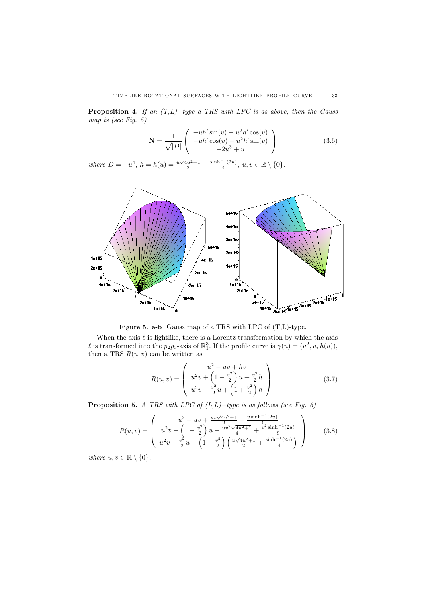**Proposition 4.** If an  $(T,L)-type$  a TRS with LPC is as above, then the Gauss map is (see Fig. 5)

$$
\mathbf{N} = \frac{1}{\sqrt{|D|}} \begin{pmatrix} -uh'\sin(v) - u^2h'\cos(v) \\ -uh'\cos(v) - u^2h'\sin(v) \\ -2u^3 + u \end{pmatrix}
$$
(3.6)

where  $D = -u^4$ ,  $h = h(u) = \frac{u\sqrt{4u^2+1}}{2} + \frac{\sinh^{-1}(2u)}{4}$ ,  $u, v \in \mathbb{R} \setminus \{0\}.$ 



Figure 5. a-b Gauss map of a TRS with LPC of (T,L)-type.

When the axis  $\ell$  is lightlike, there is a Lorentz transformation by which the axis l is transformed into the p<sub>2</sub>p<sub>3</sub>-axis of  $\mathbb{R}^3$ . If the profile curve is  $\gamma(u)=(u^2, u, h(u)),$ then a TRS  $R(u, v)$  can be written as

$$
R(u,v) = \begin{pmatrix} u^2 - uv + hv \\ u^2v + \left(1 - \frac{v^2}{2}\right)u + \frac{v^2}{2}h \\ u^2v - \frac{v^2}{2}u + \left(1 + \frac{v^2}{2}\right)h \end{pmatrix}.
$$
 (3.7)

**Proposition 5.** A TRS with LPC of  $(L,L)$ −type is as follows (see Fig. 6)

$$
R(u,v) = \begin{pmatrix} u^2 - uv + \frac{uv\sqrt{4u^2+1}}{2} + \frac{v\sinh^{-1}(2u)}{4} \\ u^2v + \left(1 - \frac{v^2}{2}\right)u + \frac{uv^2\sqrt{4u^2+1}}{4} + \frac{v^2\sinh^{-1}(2u)}{8} \\ u^2v - \frac{v^2}{2}u + \left(1 + \frac{v^2}{2}\right)\left(\frac{u\sqrt{4u^2+1}}{2} + \frac{\sinh^{-1}(2u)}{4}\right) \end{pmatrix}
$$
(3.8)

where  $u, v \in \mathbb{R} \setminus \{0\}.$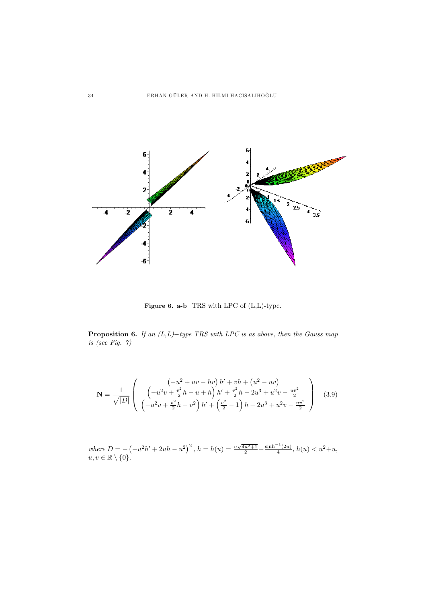

Figure 6. a-b TRS with LPC of  $(L,L)$ -type.

**Proposition 6.** If an  $(L,L)$ -type TRS with LPC is as above, then the Gauss map is (see Fig. 7)

$$
\mathbf{N} = \frac{1}{\sqrt{|D|}} \left( \begin{array}{c} \left( -u^2 + uv - hv \right) h' + vh + \left( u^2 - uv \right) \\ \left( -u^2 v + \frac{v^2}{2} h - u + h \right) h' + \frac{v^2}{2} h - 2u^3 + u^2 v - \frac{uv^2}{2} \\ \left( -u^2 v + \frac{v^2}{2} h - v^2 \right) h' + \left( \frac{v^2}{2} - 1 \right) h - 2u^3 + u^2 v - \frac{uv^2}{2} \end{array} \right) \tag{3.9}
$$

where  $D = ($  $\left(-u^2h'+2uh-u^2\right)^2$ ,  $h=h(u)=\frac{u\sqrt{4u^2+1}}{2}+\frac{\sinh^{-1}(2u)}{4}$ ,  $h(u)< u^2+u$ ,  $u, v \in \mathbb{R} \setminus \{0\}.$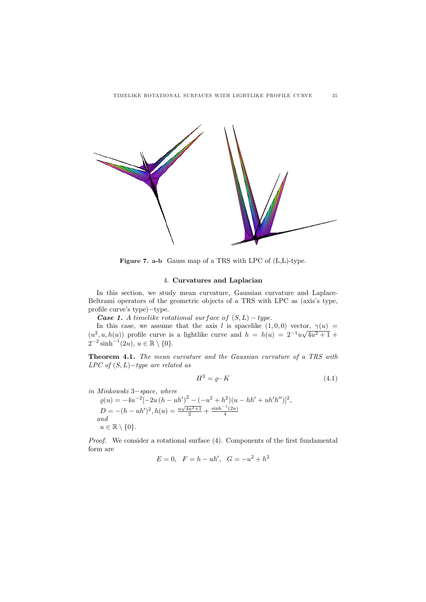

Figure 7. a-b Gauss map of a TRS with LPC of (L,L)-type.

### 4. Curvatures and Laplacian

In this section, we study mean curvature, Gaussian curvature and Laplace-Beltrami operators of the geometric objects of a TRS with LPC as (axis's type, profile curve's type)−type.

**Case 1.** A timelike rotational surface of  $(S, L)$  – type.

In this case, we assume that the axis l is spacelike  $(1, 0, 0)$  vector,  $\gamma(u)$  = In this case, we assume that the axis l is spacelike  $(1,0,0)$  vector,  $\gamma(u) = (u^2, u, h(u))$  profile curve is a lightlike curve and  $h = h(u) = 2^{-1}u\sqrt{4u^2 + 1} +$  $2^{-2} \sinh^{-1}(2u), u \in \mathbb{R} \setminus \{0\}.$ 

Theorem 4.1. The mean curvature and the Gaussian curvature of a TRS with  $LPC$  of  $(S, L)-type$  are related as

$$
H^2 = \varrho \cdot K \tag{4.1}
$$

in Minkowski 3−space, where

 $\varrho(u) = -4u^{-2}[-2u(h - uh')^2 - (-u^2 + h^2)(u - hh' + uh'h'')]^2,$  $D = -(h - uh')^2, h(u) = \frac{u\sqrt{4u^2+1}}{2} + \frac{\sinh^{-1}(2u)}{4}$ and  $u \in \mathbb{R} \setminus \{0\}.$ 

Proof. We consider a rotational surface  $(4)$ . Components of the first fundamental form are

$$
E = 0, \ \ F = h - uh', \ \ G = -u^2 + h^2
$$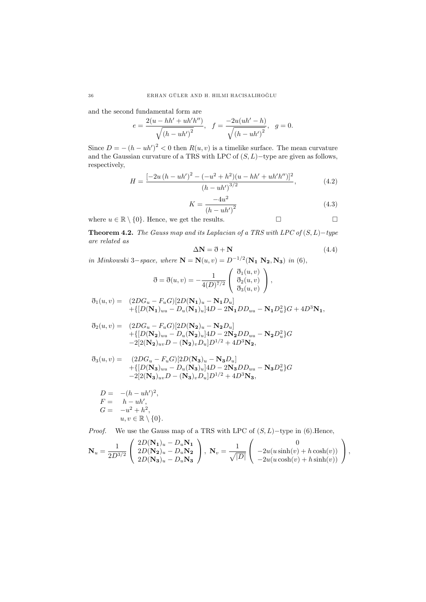and the second fundamental form are

$$
e = \frac{2(u - hh' + uh'h'')}{\sqrt{(h - uh')^2}}, \quad f = \frac{-2u(uh' - h)}{\sqrt{(h - uh')^2}}, \quad g = 0.
$$

Since  $D = -(h - uh')^2 < 0$  then  $R(u, v)$  is a timelike surface. The mean curvature and the Gaussian curvature of a TRS with LPC of  $(S, L)$  –type are given as follows, respectively,

$$
H = \frac{\left[-2u\left(h - uh'\right)^2 - \left(-u^2 + h^2\right)\left(u - hh' + uh'h''\right)\right]^2}{\left(h - uh'\right)^{3/2}},\tag{4.2}
$$

$$
K = \frac{-4u^2}{(h - uh')^2}
$$
 (4.3)

 $\Box$ 

Ĵ.

where  $u \in \mathbb{R} \setminus \{0\}$ . Hence, we get the results.  $\Box$ 

Theorem 4.2. The Gauss map and its Laplacian of a TRS with LPC of  $(S, L)$  –type are related as

$$
\Delta N = \eth + N \tag{4.4}
$$

in Minkowski 3−space, where  $\mathbf{N} = \mathbf{N}(u, v) = D^{-1/2}(\mathbf{N_1} \mathbf{N_2}, \mathbf{N_3})$  in (6),<br> $\mathbf{N_1} = \begin{pmatrix} \mathfrak{d}_1(u, v) \\ 0 \end{pmatrix}$ 

$$
\mathfrak{F} = \mathfrak{F}(u, v) = -\frac{1}{4(D)^{7/2}} \begin{pmatrix} \mathfrak{F}_1(u, v) \\ \mathfrak{F}_2(u, v) \\ \mathfrak{F}_3(u, v) \end{pmatrix},
$$

$$
\begin{array}{ll} \eth_1(u,v)= & (2DG_u-F_uG)[2D({\bf N_1})_u-{\bf N_1}D_u] \\ & +\{[D({\bf N_1})_{uu}-D_u({\bf N_1})_u]4D-2{\bf N_1}DD_{uu}-{\bf N_1}D_u^2\}G+4D^3{\bf N_1}, \end{array}
$$

$$
\begin{array}{ll} \eth_2(u,v)= & (2D G_u - F_u G)[2D({\bf N_2})_u - {\bf N_2} D_u] \\ & + \{[D({\bf N_2})_{uu} - D_u ({\bf N_2})_u] 4D - 2{\bf N_2} DD_{uu} - {\bf N_2} D_u^2\} G \\ & - 2[2({\bf N_2})_{uv} D - ({\bf N_2})_v D_u] D^{1/2} + 4D^3{\bf N_2}, \end{array}
$$

$$
\delta_3(u,v) = \begin{array}{ll} (2DG_u - F_uG)[2D(N_3)_u - N_3D_u] \\ + \{[D(N_3)_{uu} - D_u(N_3)_u]4D - 2N_3DD_{uu} - N_3D_u^2\}G \\ -2[2(N_3)_{uv}D - (N_3)_vD_u]D^{1/2} + 4D^3N_3, \end{array}
$$

$$
D = -(h - uh')2,\nF = h - uh',\nG = -u2 + h2,\nu, v \in \mathbb{R} \setminus \{0\}.
$$

*Proof.* We use the Gauss map of a TRS with LPC of  $(S, L)$ -type in (6). Hence,

$$
\mathbf{N}_u = \frac{1}{2D^{3/2}} \left( \begin{array}{c} 2D(\mathbf{N_1})_u - D_u \mathbf{N_1} \\ 2D(\mathbf{N_2})_u - D_u \mathbf{N_2} \\ 2D(\mathbf{N_3})_u - D_u \mathbf{N_3} \end{array} \right), \ \ \mathbf{N}_v = \frac{1}{\sqrt{|D|}} \left( \begin{array}{c} 0 \\ -2u(u\sinh(v) + h\cosh(v)) \\ -2u(u\cosh(v) + h\sinh(v)) \end{array} \right),
$$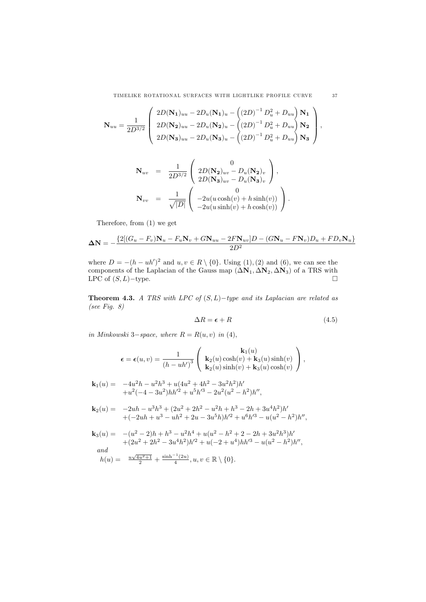TIMELIKE ROTATIONAL SURFACES WITH LIGHTLIKE PROFILE CURVE 37

$$
\mathbf{N}_{uu} = \frac{1}{2D^{3/2}} \left( \begin{array}{c} 2D(\mathbf{N}_{1})_{uu} - 2D_{u}(\mathbf{N}_{1})_{u} - ((2D)^{-1} D_{u}^{2} + D_{uu}) \mathbf{N}_{1} \\ 2D(\mathbf{N}_{2})_{uu} - 2D_{u}(\mathbf{N}_{2})_{u} - ((2D)^{-1} D_{u}^{2} + D_{uu}) \mathbf{N}_{2} \\ 2D(\mathbf{N}_{3})_{uu} - 2D_{u}(\mathbf{N}_{3})_{u} - ((2D)^{-1} D_{u}^{2} + D_{uu}) \mathbf{N}_{3} \end{array} \right),
$$

$$
\begin{array}{rcl}\n\mathbf{N}_{uv} & = & \frac{1}{2D^{3/2}} \left( \begin{array}{c} 0 \\ 2D(\mathbf{N_{2}})_{uv} - D_{u}(\mathbf{N_{2}})_{v} \\ 2D(\mathbf{N_{3}})_{uv} - D_{u}(\mathbf{N_{3}})_{v} \end{array} \right), \\
\mathbf{N}_{vv} & = & \frac{1}{\sqrt{|D|}} \left( \begin{array}{c} 0 \\ -2u(u\cosh(v) + h\sinh(v)) \\ -2u(u\sinh(v) + h\cosh(v)) \end{array} \right).\n\end{array}
$$

Therefore, from (1) we get

$$
\Delta N = -\frac{\left\{2[(G_u - F_v)N_u - F_uN_v + G_{uu} - 2F_N_{uv}]}{D} - (G_{u} - F_N_v)D_u + F_{v}N_u\right\}}{2D^2}
$$

where  $D = -(h - uh')^2$  and  $u, v \in R \setminus \{0\}$ . Using (1), (2) and (6), we can see the components of the Laplacian of the Gauss map  $(\Delta N_1, \Delta N_2, \Delta N_3)$  of a TRS with LPC of  $(S, L)$  –type.  $\Box$ 

Theorem 4.3. A TRS with LPC of  $(S, L)-type$  and its Laplacian are related as (see Fig. 8)

$$
\Delta R = \epsilon + R \tag{4.5}
$$

in Minkowski 3−space, where  $R = R(u, v)$  in (4),

$$
\epsilon = \epsilon(u, v) = \frac{1}{(h - uh')^3} \left( \begin{array}{c} \mathbf{k}_1(u) \\ \mathbf{k}_2(u) \cosh(v) + \mathbf{k}_3(u) \sinh(v) \\ \mathbf{k}_2(u) \sinh(v) + \mathbf{k}_3(u) \cosh(v) \end{array} \right),
$$

$$
\begin{array}{ll} \mathbf{k}_1(u)=&-4u^2h-u^2h^3+u(4u^2+4h^2-3u^2h^2)h'\\&+u^2(-4-3u^2)hh'^2+u^5h'^3-2u^2(u^2-h^2)h'',\end{array}
$$

$$
\begin{array}{ll} \mathbf{k}_2(u)=&-2uh-u^3h^3+(2u^2+2h^2-u^2h+h^3-2h+3u^4h^2)h'\\&+(-2uh+u^3-uh^2+2u-3u^5h)h'^2+u^6h'^3-u(u^2-h^2)h'',\end{array}
$$

k3(u) = −(u<sup>2</sup> − 2)h + h<sup>3</sup> − u2h<sup>4</sup> + u(u<sup>2</sup> − h<sup>2</sup> + 2 − 2h + 3u2h3)h-+(2u<sup>2</sup> + 2h<sup>2</sup> − 3u4h2)h-<sup>2</sup> + u(−2 + u4)hh-<sup>3</sup> − u(u<sup>2</sup> − h2)h--, and

$$
h(u) = \frac{u\sqrt{4u^2+1}}{2} + \frac{\sinh^{-1}(2u)}{4}, u, v \in \mathbb{R} \setminus \{0\}.
$$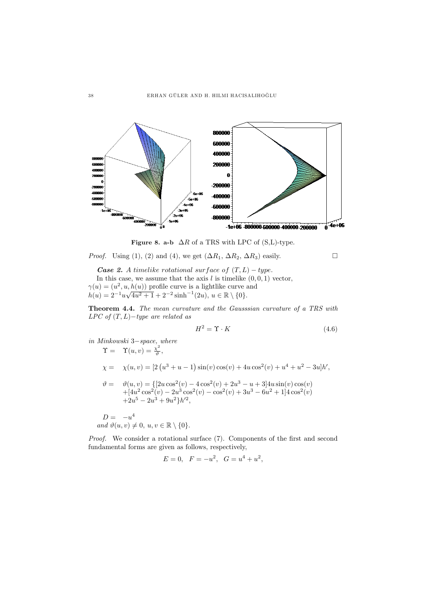

Figure 8. a-b  $\Delta R$  of a TRS with LPC of (S,L)-type.

*Proof.* Using (1), (2) and (4), we get  $(\Delta R_1, \Delta R_2, \Delta R_3)$  easily.

**Case 2.** A timelike rotational surface of  $(T, L) - type$ . In this case, we assume that the axis  $l$  is timelike  $(0, 0, 1)$  vector,  $\gamma(u)=(u^2, u, h(u))$  profile curve is a lightlike curve and  $\gamma(u) = (u^2, u, h(u))$  profile curve is a lightlike curve  $h(u) = 2^{-1}u\sqrt{4u^2 + 1} + 2^{-2}\sinh^{-1}(2u), u \in \mathbb{R} \setminus \{0\}.$ 

Theorem 4.4. The mean curvature and the Gausssian curvature of a TRS with  $LPC$  of  $(T, L)-type$  are related as

$$
H^2 = \Upsilon \cdot K \tag{4.6}
$$

in Minkowski 3−space, where

$$
\begin{aligned}\n\Upsilon &= \quad \Upsilon(u, v) = \frac{\chi^2}{\vartheta}, \\
\chi &= \quad \chi(u, v) = \left[2\left(u^3 + u - 1\right)\sin(v)\cos(v) + 4u\cos^2(v) + u^4 + u^2 - 3u\right]h', \\
\vartheta &= \quad \vartheta(u, v) = \left\{\left[2u\cos^2(v) - 4\cos^2(v) + 2u^3 - u + 3\right]4u\sin(v)\cos(v) + \left[4u^2\cos^2(v) - 2u^3\cos^2(v) - \cos^2(v) + 3u^3 - 6u^2 + 1\right]4\cos^2(v) + 2u^5 - 2u^3 + 9u^2\right\}h^2,\n\end{aligned}
$$

 $D = -u^4$ and  $\vartheta(u, v) \neq 0, u, v \in \mathbb{R} \setminus \{0\}.$ 

Proof. We consider a rotational surface  $(7)$ . Components of the first and second fundamental forms are given as follows, respectively,

$$
E = 0, \quad F = -u^2, \quad G = u^4 + u^2,
$$

 $\Box$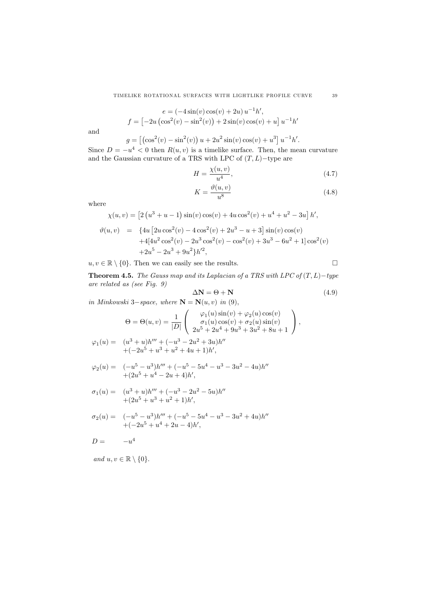$$
e = (-4\sin(v)\cos(v) + 2u)u^{-1}h',
$$
  

$$
f = [-2u(\cos^{2}(v) - \sin^{2}(v)) + 2\sin(v)\cos(v) + u]u^{-1}h'
$$

and

$$
g = [(\cos^{2}(v) - \sin^{2}(v)) u + 2u^{2} \sin(v) \cos(v) + u^{3}] u^{-1} h'.
$$

Since  $D = -u^4 < 0$  then  $R(u, v)$  is a timelike surface. Then, the mean curvature and the Gaussian curvature of a TRS with LPC of  $(T, L)$ −type are

$$
H = \frac{\chi(u, v)}{u^4},\tag{4.7}
$$

$$
K = \frac{\vartheta(u, v)}{u^8} \tag{4.8}
$$

where

$$
\chi(u,v) = \left[2\left(u^3 + u - 1\right)\sin(v)\cos(v) + 4u\cos^2(v) + u^4 + u^2 - 3u\right]h',
$$
  
\n
$$
\vartheta(u,v) = \left\{4u\left[2u\cos^2(v) - 4\cos^2(v) + 2u^3 - u + 3\right]\sin(v)\cos(v) + 4[4u^2\cos^2(v) - 2u^3\cos^2(v) - \cos^2(v) + 3u^3 - 6u^2 + 1]\cos^2(v) + 2u^5 - 2u^3 + 9u^2\right\}h'^2,
$$

 $u, v \in \mathbb{R} \setminus \{0\}$ . Then we can easily see the results.  $\Box$ 

Theorem 4.5. The Gauss map and its Laplacian of a TRS with LPC of  $(T, L)$  -type are related as (see Fig. 9)

$$
\Delta N = \Theta + N \tag{4.9}
$$

in Minkowski 3−space, where  $\mathbf{N} = \mathbf{N}(u, v)$  in (9),

$$
\Theta = \Theta(u, v) = \frac{1}{|D|} \begin{pmatrix} \varphi_1(u) \sin(v) + \varphi_2(u) \cos(v) \\ \sigma_1(u) \cos(v) + \sigma_2(u) \sin(v) \\ 2u^5 + 2u^4 + 9u^3 + 3u^2 + 8u + 1 \end{pmatrix},
$$
  

$$
= (u^3 + u)h''' + (-u^3 - 2u^2 + 3u)h''
$$

$$
\varphi_1(u) = (u^3 + u)h''' + (-u^3 - 2u^2 + 3u)h''
$$
  
+(-2u<sup>5</sup> + u<sup>3</sup> + u<sup>2</sup> + 4u + 1)h',

$$
\varphi_2(u) = \quad (-u^5 - u^3)h''' + (-u^5 - 5u^4 - u^3 - 3u^2 - 4u)h'' + (2u^5 + u^4 - 2u + 4)h',
$$

$$
\sigma_1(u) = (u^3 + u)h''' + (-u^3 - 2u^2 - 5u)h''
$$
  
+ 
$$
(2u^5 + u^3 + u^2 + 1)h',
$$

$$
\sigma_2(u) = ( -u^5 - u^3)h''' + (-u^5 - 5u^4 - u^3 - 3u^2 + 4u)h'' + (-2u^5 + u^4 + 2u - 4)h',
$$

$$
D = -u^4
$$

and  $u, v \in \mathbb{R} \setminus \{0\}.$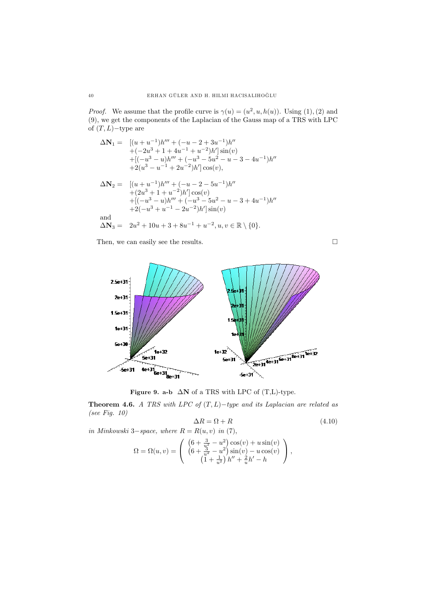*Proof.* We assume that the profile curve is  $\gamma(u)=(u^2, u, h(u))$ . Using (1), (2) and (9), we get the components of the Laplacian of the Gauss map of a TRS with LPC of  $(T, L)$  – type are

$$
\Delta N_1 = \begin{array}{ll} [(u+u^{-1})h''' + (-u-2+3u^{-1})h'' \\ +(-2u^3+1+4u^{-1}+u^{-2})h' \end{array} \begin{array}{ll} \text{sin}(v) \\ +[(-u^3-u)h''' + (-u^3-5u^2-u-3-4u^{-1})h'' \\ +2(u^3-u^{-1}+2u^{-2})h' \end{array}
$$

$$
\begin{array}{rl}\Delta \mathbf{N}_2=&\left[(u+u^{-1})h'''+(-u-2-5u^{-1})h''\right.\\&\left.+(2u^3+1+u^{-2})h' \right]\cos(v)\\&+\left[(-u^3-u)h'''+(-u^3-5u^2-u-3+4u^{-1})h''\right.\\&\left. +2(-u^3+u^{-1}-2u^{-2})h' \right]\sin(v)\end{array}
$$
 and

$$
\Delta N_3 = 2u^2 + 10u + 3 + 8u^{-1} + u^{-2}, u, v \in \mathbb{R} \setminus \{0\}.
$$

Then, we can easily see the results.



Figure 9. a-b  $\Delta N$  of a TRS with LPC of (T,L)-type.

Theorem 4.6. A TRS with LPC of  $(T, L)-$ type and its Laplacian are related as (see Fig. 10)

$$
\Delta R = \Omega + R \tag{4.10}
$$

in Minkowski 3–space, where 
$$
R = R(u, v)
$$
 in (7),  
\n
$$
\Omega = \Omega(u, v) = \begin{pmatrix} (6 + \frac{3}{v^2} - u^2) \cos(v) + u \sin(v) \\ (6 + \frac{3}{w^2} - u^2) \sin(v) - u \cos(v) \\ (1 + \frac{1}{u^2}) h'' + \frac{2}{u} h' - h \end{pmatrix},
$$

 $\Box$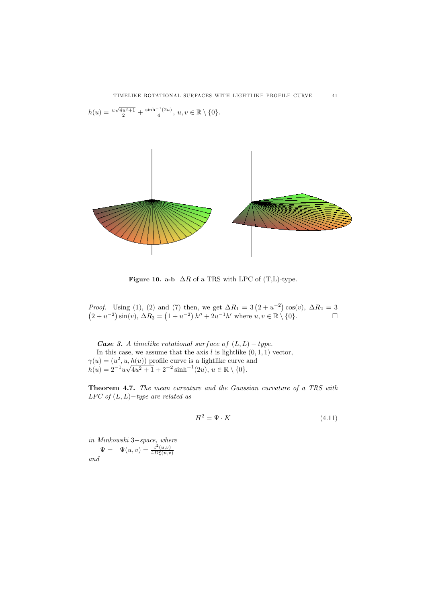$h(u) = \frac{u\sqrt{4u^2+1}}{2} + \frac{\sinh^{-1}(2u)}{4}, u, v \in \mathbb{R} \setminus \{0\}.$ 

$$
\frac{1}{\sqrt{1-\frac{1}{2}}}
$$

Figure 10. a-b  $\Delta R$  of a TRS with LPC of (T,L)-type.

*Proof.* Using (1), (2) and (7) then, we get  $\Delta R_1 = 3$  ( *Proof.* Using (1), (2) and (7) then, we get  $\Delta R_1 = 3(2 + u^{-2})\cos(v)$ ,  $\Delta R_2 = 3$  $2'$ roof. Using (1), (2) and<br>  $2 + u^{-2}$ ) sin(v),  $\Delta R_3 =$  ( 1 (7) then, we get  $\Delta R_1 = 3(2 + u^{-2}) \cos(v)$ ,  $\Delta R_2 = 3$ <br>  $1 + u^{-2} h'' + 2u^{-1} h'$  where  $u, v \in \mathbb{R} \setminus \{0\}$ .

**Case 3.** A timelike rotational surface of  $(L, L) - type$ . In this case, we assume that the axis  $l$  is lightlike  $(0, 1, 1)$  vector,  $\gamma(u)=(u^2, u, h(u))$  profile curve is a lightlike curve and  $\gamma(u) = (u^2, u, h(u))$  profile curve is a lightlike curve  $h(u) = 2^{-1}u\sqrt{4u^2 + 1} + 2^{-2} \sinh^{-1}(2u), u \in \mathbb{R} \setminus \{0\}.$ 

Theorem 4.7. The mean curvature and the Gaussian curvature of a TRS with  $LPC$  of  $(L, L)-type$  are related as

$$
H^2 = \Psi \cdot K \tag{4.11}
$$

in Minkowski 3−space, where  $\Psi = \Psi(u, v) = \frac{\varsigma^2(u, v)}{4D\xi(u, v)}$ and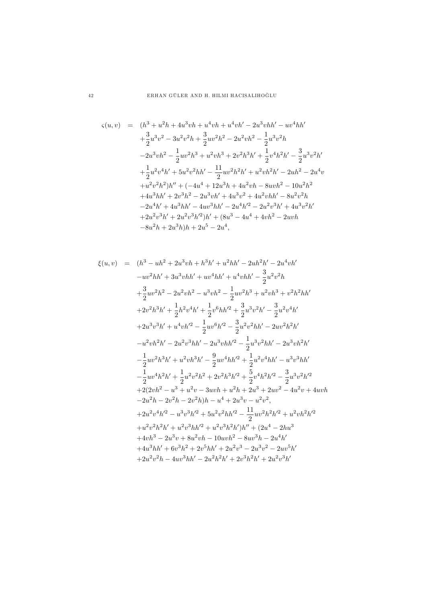$$
\zeta(u,v) = (h^3 + u^2h + 4u^3vh + u^4vh + u^4vh' - 2u^3vhh' - uv^4hh'+ \frac{3}{2}u^3v^2 - 3u^2v^2h + \frac{3}{2}uv^2h^2 - 2u^2vh^2 - \frac{1}{2}u^3v^2h- 2u^3vh^2 - \frac{1}{2}uv^2h^3 + u^2vh^3 + 2v^2h^3h' + \frac{1}{2}v^4h^2h' - \frac{3}{2}u^3v^2h'+ \frac{1}{2}u^2v^4h' + 5u^2v^2hh' - \frac{11}{2}uv^2h^2h' + u^2vh^2h' - 2uh^2 - 2u^4v+ u^2v^2h^2)h'' + (-4u^4 + 12u^3h + 4u^2vh - 8uvh^2 - 10u^2h^2+ 4u^3hh' + 2v^3h^2 - 2u^3vh' + 4u^3v^2 + 4u^2vhh' - 8u^2v^2h- 2u^4h' + 4u^3hh' - 4uv^3hh' - 2u^4h'^2 - 2u^2v^3h' + 4u^3v^2h'+ 2u^2v^3h' + 2u^2v^3h'^2)h' + (8u^3 - 4u^4 + 4vh^2 - 2uvh- 8u^2h + 2u^3h)h + 2u^5 - 2u^4,
$$

$$
\xi(u,v) = (h^3 - uh^2 + 2u^3vh + h^3h' + u^2hh' - 2uh^2h' - 2u^4vh'\n-uv^2hh' + 3u^3vhh' + uv^4hh' + u^4vhh' - \frac{3}{2}u^2v^2h\n+ \frac{3}{2}uv^2h^2 - 2u^2vh^2 - u^3vh^2 - \frac{1}{2}uv^2h^3 + u^2vh^3 + v^2h^2hh'\n+ 2v^2h^3h' + \frac{1}{2}h^2v^4h' + \frac{1}{2}v^6hh'^2 + \frac{3}{2}u^3v^2h' - \frac{3}{2}u^2v^4h'\n+ 2u^3v^3h' + u^4vh'^2 - \frac{1}{2}uv^6h'^2 - \frac{3}{2}u^2v^2hh' - 2uv^2h^2h'\n- u^2vh^2h' - 2u^2v^3hh' - 2u^3vhh'^2 - \frac{1}{2}u^3v^2hh' - 2u^3vh^2h'\n- \frac{1}{2}uv^2h^3h' + u^2vh^3h' - \frac{9}{2}uv^4hh'^2 + \frac{1}{2}u^2v^4hh' - u^3v^3hh'\n- \frac{1}{2}uv^4h^2h' + \frac{1}{2}u^2v^2h^2 + 2v^2h^3h'^2 + \frac{5}{2}v^4h^2h'^2 - \frac{3}{2}u^3v^2h'^2\n+ 2(2vh^2 - u^3 + u^2v - 3uvh + u^2h + 2u^3 + 2uv^2 - 4u^2v + 4uvh\n- 2u^2h - 2v^2h - 2v^2h)h - u^4 + 2u^3v - u^2v^2,\n+ 2u^2v^4h'^2 - u^3v^3h'^2 + 5u^2v^2hh'^2 - \frac{11}{2}uv^2h^2h'^2 + u^2vh^2h'^2\n+ u^2v^2h^2h' + u^2v^3hh' + u^2v^3h^2h'/h'' + (2u^4 - 2hu^3\n+ 4vh^3 - 2u^3v + 8u^2vh - 10uvh^2 - 8uv^3h - 2
$$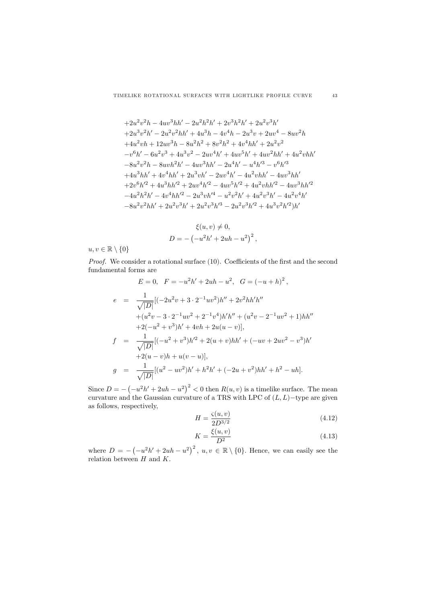$$
+2u^{2}v^{2}h-4uv^{3}hh'-2u^{2}h^{2}h'+2v^{3}h^{2}h'+2u^{2}v^{3}h'
$$
  
\n
$$
+2u^{3}v^{2}h'-2u^{2}v^{2}hh'+4u^{3}h-4v^{4}h-2u^{3}v+2uv^{4}-8uv^{2}h
$$
  
\n
$$
+4u^{2}vh+12uv^{3}h-8u^{2}h^{2}+8v^{2}h^{2}+4v^{4}hh'+2u^{2}v^{2}
$$
  
\n
$$
-v^{6}h'-6u^{2}v^{3}+4u^{3}v^{2}-2uv^{4}h'+4uv^{5}h'+4uv^{2}hh'+4u^{2}vhh'
$$
  
\n
$$
-8u^{2}v^{2}h-8uvh^{2}h'-4uv^{3}hh'-2u^{4}h'-u^{4}h'^{3}-v^{6}h'^{3}
$$
  
\n
$$
+4u^{3}hh'+4v^{4}hh'+2u^{3}vh'-2uv^{4}h'-4u^{2}vhh'-4uv^{3}hh'
$$
  
\n
$$
+2v^{6}h'^{2}+4u^{3}hh'^{2}+2uv^{4}h'^{2}-4uv^{5}h'^{2}+4u^{2}vhh'^{2}-4uv^{3}hh'^{2}
$$
  
\n
$$
-4u^{2}h^{2}h'-4v^{4}hh'^{2}-2u^{3}vh'^{4}-u^{2}v^{2}h'+4u^{2}v^{3}h'-4u^{2}v^{4}h'
$$
  
\n
$$
-8u^{2}v^{2}hh'+2u^{2}v^{3}h'+2u^{2}v^{3}h'^{3}-2u^{2}v^{3}h'^{2}+4u^{3}v^{2}h'^{2})h'
$$

$$
\xi(u, v) \neq 0,
$$
  

$$
D = -\left(-u^2h' + 2uh - u^2\right)^2,
$$

 $u, v \in \mathbb{R} \setminus \{0\}$ 

Proof. We consider a rotational surface (10). Coefficients of the first and the second fundamental forms are

$$
E = 0, \quad F = -u^2h' + 2uh - u^2, \quad G = (-u + h)^2,
$$
  
\n
$$
e = \frac{1}{\sqrt{|D|}} [(-2u^2v + 3 \cdot 2^{-1}uv^2)h'' + 2v^2hh'h''
$$
  
\n
$$
+(u^2v - 3 \cdot 2^{-1}uv^2 + 2^{-1}v^4)h'h'' + (u^2v - 2^{-1}uv^2 + 1)hh''
$$
  
\n
$$
+2(-u^2 + v^3)h' + 4vh + 2u(u - v)],
$$
  
\n
$$
f = \frac{1}{\sqrt{|D|}} [(-u^2 + v^3)h'^2 + 2(u + v)hh' + (-uv + 2uv^2 - v^3)h'
$$
  
\n
$$
+2(u - v)h + u(v - u)],
$$
  
\n
$$
g = \frac{1}{\sqrt{|D|}} [(u^2 - uv^2)h' + h^2h' + (-2u + v^2)hh' + h^2 - uh].
$$

Since  $D = -$  (  $(-u^2h' + 2uh - u^2)^2 < 0$  then  $R(u, v)$  is a timelike surface. The mean curvature and the Gaussian curvature of a TRS with LPC of  $(L, L)$  –type are given as follows, respectively,

$$
H = \frac{\varsigma(u, v)}{2D^{3/2}}\tag{4.12}
$$

$$
K = \frac{\xi(u, v)}{D^2} \tag{4.13}
$$

where  $D = -$  (  $(-u^2h'+2uh-u^2)^2$ ,  $u, v \in \mathbb{R} \setminus \{0\}$ . Hence, we can easily see the relation between  $H$  and  $K$ .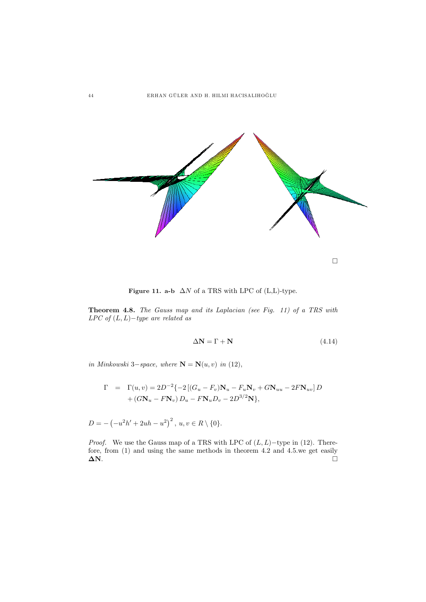

Figure 11. a-b  $~\Delta N$  of a TRS with LPC of (L,L)-type.

Theorem 4.8. The Gauss map and its Laplacian (see Fig. 11) of a TRS with LPC of  $(L, L)$ -type are related as

$$
\Delta N = \Gamma + N \tag{4.14}
$$

in Minkowski 3−space, where  $\mathbf{N} = \mathbf{N}(u, v)$  in (12),

$$
\Gamma = \Gamma(u, v) = 2D^{-2}\{-2[(G_u - F_v)\mathbf{N}_u - F_u\mathbf{N}_v + G\mathbf{N}_{uu} - 2F\mathbf{N}_{uv}]D + (G\mathbf{N}_u - F\mathbf{N}_v) D_u - F\mathbf{N}_u D_v - 2D^{3/2}\mathbf{N}\},
$$

$$
D = -(-u^{2}h' + 2uh - u^{2})^{2}, u, v \in R \setminus \{0\}.
$$

*Proof.* We use the Gauss map of a TRS with LPC of  $(L, L)$  –type in (12). Therefore, from (1) and using the same methods in theorem 4.2 and 4.5.we get easily  $\Delta N$ .  $\Delta N$ .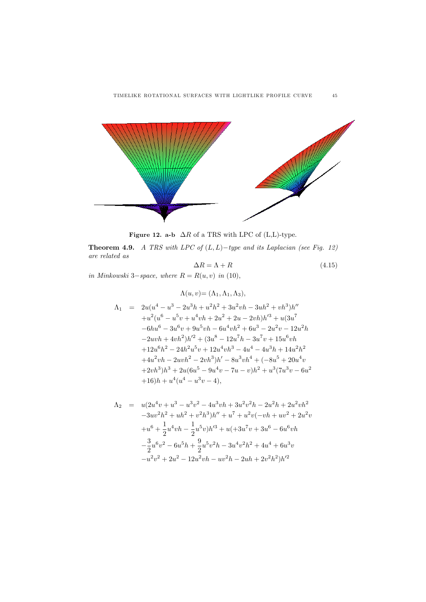

Figure 12. a-b  $\Delta R$  of a TRS with LPC of (L,L)-type.

Theorem 4.9. A TRS with LPC of  $(L, L)$ -type and its Laplacian (see Fig. 12) are related as

$$
\Delta R = \Lambda + R \tag{4.15}
$$

in Minkowski 3−space, where  $R = R(u, v)$  in (10),

$$
\Lambda(u, v) = (\Lambda_1, \Lambda_1, \Lambda_3),
$$
  
\n
$$
\Lambda_1 = 2u(u^4 - u^3 - 2u^3h + u^2h^2 + 3u^2vh - 3uh^2 + vh^3)h''
$$
  
\n
$$
+u^2(u^6 - u^5v + u^4vh + 2u^2 + 2u - 2vh)h'^3 + u(3u^7 - 6hu^6 - 3u^6v + 9u^5vh - 6u^4vh^2 + 6u^3 - 2u^2v - 12u^2h
$$
  
\n
$$
-2uvh + 4vh^2)h'^2 + (3u^8 - 12u^7h - 3u^7v + 15u^6vh
$$
  
\n
$$
+12u^6h^2 - 24h^2u^5v + 12u^4vh^3 - 4u^4 - 4u^3h + 14u^2h^2
$$
  
\n
$$
+4u^2vh - 2uvh^2 - 2vh^3)h' - 8u^3vh^4 + (-8u^5 + 20u^4v
$$
  
\n
$$
+2vh^3)h^3 + 2u(6u^5 - 9u^4v - 7u - v)h^2 + u^3(7u^3v - 6u^2
$$
  
\n
$$
+16)h + u^4(u^4 - u^3v - 4),
$$

$$
\Lambda_2 = u(2u^4v + u^3 - u^3v^2 - 4u^3vh + 3u^2v^2h - 2u^2h + 2u^2vh^2
$$
  
\n
$$
-3uv^2h^2 + uh^2 + v^2h^3)h'' + u^7 + u^2v(-vh + uv^2 + 2u^2v
$$
  
\n
$$
+u^6 + \frac{1}{2}u^4vh - \frac{1}{2}u^5v)h'^3 + u(+3u^7v + 3u^6 - 6u^6vh
$$
  
\n
$$
-\frac{3}{2}u^6v^2 - 6u^5h + \frac{9}{2}u^5v^2h - 3u^4v^2h^2 + 4u^4 + 6u^3v
$$
  
\n
$$
-u^2v^2 + 2u^2 - 12u^2vh - uv^2h - 2uh + 2v^2h^2)h'^2
$$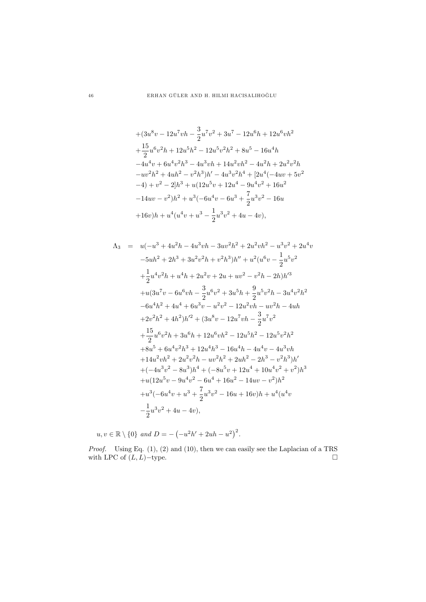$$
+ (3u8v - 12u7vh - \frac{3}{2}u7v2 + 3u7 - 12u6h + 12u6vh2+ \frac{15}{2}u6v2h + 12u5h2 - 12u5v2h2 + 8u5 - 16u4h-4u4v + 6u4v2h3 - 4u3vh + 14u2vh2 - 4u2h + 2u2v2h-uv2h2 + 4uh2 - v2h3)h' - 4u3v2h4 + [2u4(-4uv + 5v2-4) + v2 - 2]h3 + u(12u5v + 12u4 - 9u4v2 + 16u2-14uv - v2)h2 + u3(-6u4v - 6u3 + \frac{7}{2}u3v2 - 16u+16v)h + u4(u4v + u3 - \frac{1}{2}u3v2 + 4u - 4v),
$$

$$
\Lambda_3 = u(-u^3 + 4u^2h - 4u^3vh - 3uv^2h^2 + 2u^2vh^2 - u^3v^2 + 2u^4v - 5uh^2 + 2h^3 + 3u^2v^2h + v^2h^3)h'' + u^2(u^6v - \frac{1}{2}u^5v^2 + \frac{1}{2}u^4v^2h + u^4h + 2u^2v + 2u + uv^2 - v^2h - 2h)h'^3 + u(3u^7v - 6u^6vh - \frac{3}{2}u^6v^2 + 3u^5h + \frac{9}{2}u^5v^2h - 3u^4v^2h^2 - 6u^4h^2 + 4u^4 + 6u^3v - u^2v^2 - 12u^2vh - uv^2h - 4uh + 2v^2h^2 + 4h^2)h'^2 + (3u^8v - 12u^7vh - \frac{3}{2}u^7v^2 + \frac{15}{2}u^6v^2h + 3u^6h + 12u^6vh^2 - 12u^5h^2 - 12u^5v^2h^2 + 8u^5 + 6u^4v^2h^3 + 12u^4h^3 - 16u^4h - 4u^4v - 4u^3vh + 14u^2vh^2 + 2u^2v^2h - uv^2h^2 + 2uh^2 - 2h^3 - v^2h^3)h' + (-4u^3v^2 - 8u^3)h^4 + (-8u^5v + 12u^4 + 10u^4v^2 + v^2)h^3 + u(12u^5v - 9u^4v^2 - 6u^4 + 16u^2 - 14uv - v^2)h^2 + u^3(-6u^4v + u^3 + \frac{7}{2}u^3v^2 - 16u + 16v)h + u^4(u^4v - \frac{1}{2}u^3v^2 + 4u - 4v),
$$

 $u, v \in \mathbb{R} \setminus \{0\}$  and  $D = -$  (  $(-u^2h' + 2uh - u^2)^2$ .

*Proof.* Using Eq.  $(1)$ ,  $(2)$  and  $(10)$ , then we can easily see the Laplacian of a TRS with LPC of  $(L, L)$ -type.  $\Box$